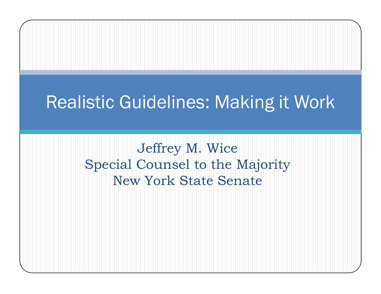#### Realistic Guidelines: Making it Work

Jeffrey M. Wice Special Counsel to the Majority New York State Senate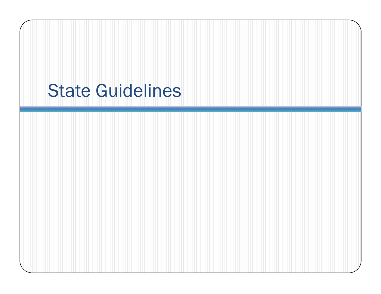## State Guidelines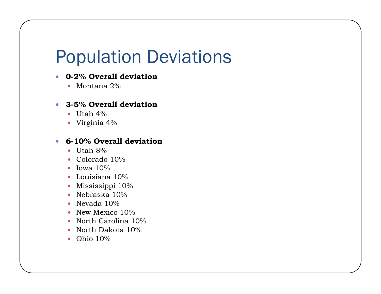## Population Deviations

#### $\bullet$ **0-2% Overall deviation**

 $\bullet~$  Montana  $2\%$ 

#### y **3-5% Overall deviation**

- $\bullet~$  Utah 4%
- Virginia 4 $\%$

#### $\bullet$ **6-10% Overall deviation**

- $\bullet~$  Utah 8%
- Colorado 10%
- Iowa  $10\%$
- Louisiana  $10\%$
- Mississippi  $10\%$
- Nebraska  $10\%$
- Nevada  $10\%$
- New Mexico  $10\%$
- North Carolina 10%
- North Dakota 10%
- Ohio  $10\%$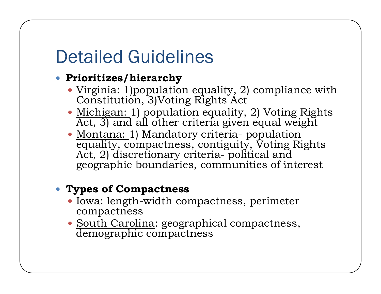## Detailed Guidelines

#### y **Prioritizes/hierarchy**

- $\bullet$  <u>Virginia:</u> 1)population equality, 2) compliance with Constitution, 3)Voting Rights Act
- <u>Michigan: 1)</u> population equality, 2) Voting Rights Act, 3) and all other criteria given equal weight
- <u>Montana: 1)</u> Mandatory criteria- population equality, compactness, contiguity, Voting Rights Act, 2) discretionary criteria- political and geographic boundaries communities of interest boundaries,

#### **• Types of Compactness**

- <u>Iowa: l</u>ength-width compactness, perimeter compactness
- <u>South Carolina</u>: geographical compactness, demographic compactness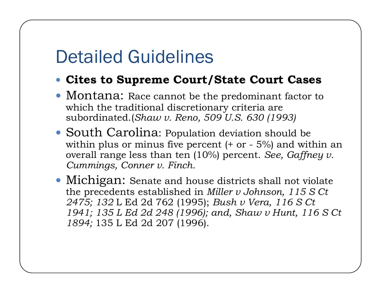#### Detailed Guidelines

#### y **Cites to Supreme Court/State Court Cases**

- Montana: Race cannot be the predominant factor to which the traditional discretionary criteria are subordinated.(*Shaw v. Reno, 509 U.S. 630 (1993)*
- South Carolina: Population deviation should be within plus or minus five percent  $(+)$  or  $-5\%$  and within an overall range less than ten (10%) percent. *See, Gaffney v. Cummings Conner v Finch Cummings, v. Finch.*
- Michigan: Senate and house districts shall not violate the precedents established in *Miller v Johnson, 115 S Ct 2475; 132* L Ed 2d 762 (1995); *Bush v Vera 116 S Ct Vera, 1941; 135 L Ed 2d 248 (1996); and, Shaw v Hunt, 116 S Ct 1894;* 135 L Ed 2d 207 (1996).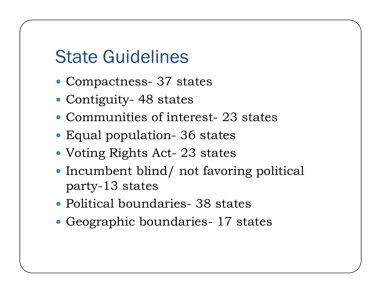#### State Guidelines

- Compactness- 37 states
- Contiguity- 48 states
- Communities of interest- 23 states
- Equal population- 36 states
- Voting Rights Act- 23 states
- $\bullet$  Incumbent blind/ not favoring political party-13 states
- Political boundaries- 38 states
- Geographic boundaries- 17 states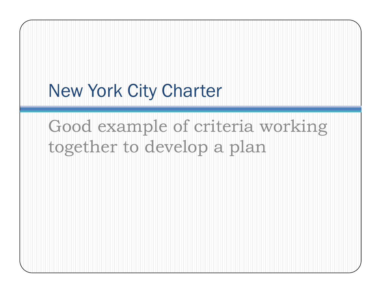# Good example of criteria working together to develop a plan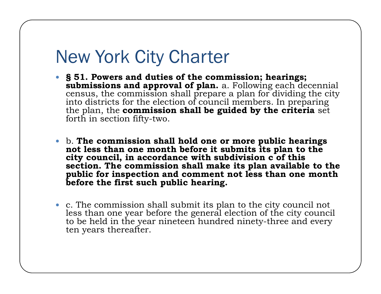- y **§ 51. Powers and duties of the commission; hearings; submissions and approval of plan.** a. Following each decennial census, the commission shall prepare a plan for dividing the city into districts for the election of council members. In preparing the plan, the **commission shall be guided by the criteria** set forth in section fifty-two.
- y b. **The commission shall hold one or more public hearings not less than one month before it submits its plan to the city council, in accordance with subdivision c of this section. The commission shall make its plan available to the public for inspection and comment not less than one month before the first such public hearing.**
- c. The commission shall submit its plan to the city council not less than one year before the general election of the city council to be held in the year nineteen hundred ninety-three and every ten years thereafter.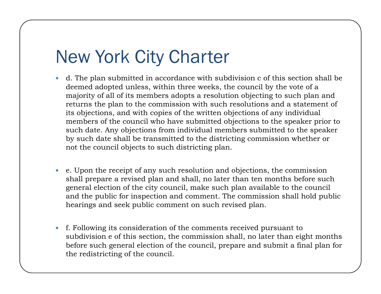- $\bullet$  d. The plan submitted in accordance with subdivision c of this section shall be deemed adopted unless, within three weeks, the council by the vote of a majority of all of its members adopts a resolution objecting to such plan and returns the plan to the commission with such resolutions and a statement of its objections, and with copies of the written objections of any individual members of the council who have submitted objections to the speaker prior to such date. Any objections from individual members submitted to the speaker by such date shall be transmitted to the districting commission whether or not the council objects to such districting plan.
- $\bullet$  e. Upon the receipt of any such resolution and objections, the commission shall prepare a revised plan and shall, no later than ten months before such general election of the city council, make such plan available to the council and the public for inspection and comment. The commission shall hold public hearings and seek public comment on such revised plan.
- $\bullet$  f. Following its consideration of the comments received pursuant to subdivision  ${\rm e}$  of this section, the commission shall, no later than eight months before such general election of the council, prepare and submit a final plan for the redistricting of the council.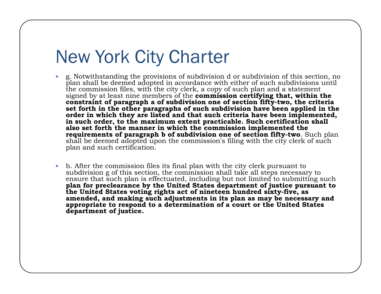- $\bullet$  g. Notwithstanding the provisions of subdivision d or subdivision of this section, no plan shall be deemed adopted in accordance with either of such subdivisions until the commission files, with the city clerk, a copy of such plan and a statement signed by at least nine members of the **commission certifying that, within the constraint of paragraph a of subdivision one of section fifty-two, the criteria set forth in the other paragraphs of such subdivision have been applied in the order in which they are listed and that such criteria have been implemented, in such order, to the maximum extent practicable. Such certification shall also set forth the manner in which the commission implemented the requirements of paragraph b of subdivision one of section fifty-two**. Such plan shall be deemed adopted upon the commission's filing with the city clerk of such plan and such certification.
- $\bullet$ h. After the commission files its final plan with the city clerk pursuant to subdivision g of this section, the commission shall take all steps necessary to ensure that such plan is effectuated, including but not limited to submitting such **plan for preclearance by the United States department of justice pursuant to the United States voting rights act of nineteen hundred sixty-five, as amended, and making such adjustments in its plan as may be necessary and**  appropriate to respond to a determination of a court or the United States **department of justice.**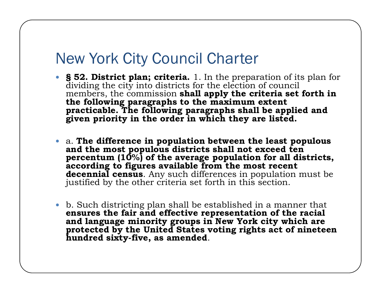#### New York City Council Charter

- **§** 52. District plan; criteria. 1. In the preparation of its plan for dividing the city into districts for the election of council members, the commission **shall apply the criteria set forth in the following paragraphs to the maximum extent practicable. The following paragraphs shall be applied and given priority in the order in which they are listed.**
- y a. **The difference in population between the least populous and the most populous districts shall not exceed ten percentum (10%) of the average population for all districts, according to figures available from the most recent decennial census**. Any such differences in population must be justified by the other criteria set forth in this section.
- $\bullet$ • b. Such districting plan shall be established in a manner that **ensures the fair and effective representation of the racial and language minority groups in New York city which are protected by the United States voting rights act of nineteen hundred sixty -five, as amended**.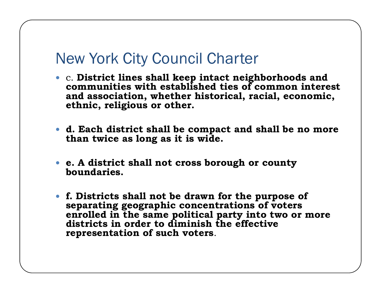#### New York City Council Charter

- y c. **District lines shall keep intact neighborhoods and communities with established ties of common interest and association, whether historical, racial, economic, ethnic, religious or other.**
- d. Each district shall be compact and shall be no more **than twice as long as it is wide.**
- y **e. A district shall not cross borough or county boundaries.**
- y **f. Districts shall not be drawn for the purpose of separati hi t ti f t ting geographi c concen trations of vo ters enrolled in the same political party into two or more districts in order to diminish the effective representation of such voters**.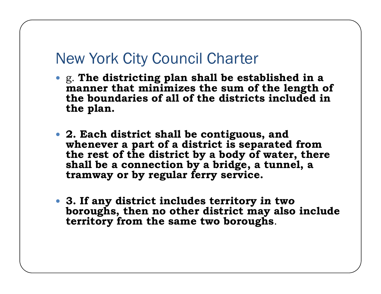#### New York City Council Charter

- y g. **The districting plan shall be established in a manner that minimizes the sum of the length of the boundaries of all of the districts included in the plan.**
- y **2. Each district shall be contiguous, and whenever a part of a district is separated from the rest of the district by a body of water, there shall be a connection by a bridge a tunnel <sup>a</sup> , , tramway or by regular ferry service.**
- y **3 If any district includes territory in two 3. boroughs, then no other district may also include territory from the same two boroughs**.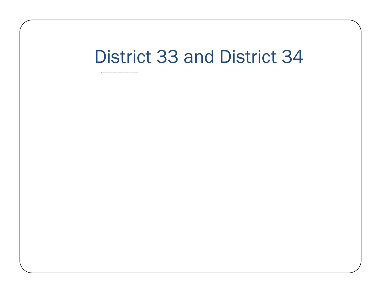#### District 33 and District 34

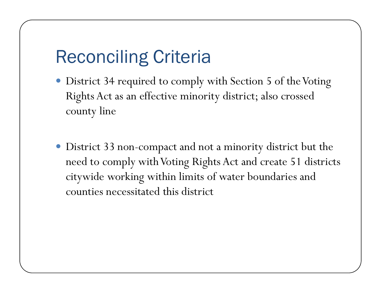## Reconciling Criteria

- District 34 required to comply with Section 5 of the Voting Rights Act as an effective minority district; also crossed county line
- District 33 non-compact and not a minority district but the need to comply with Voting Rights Act and create 51 districts citywide working within limits of water boundaries and counties necessitated this district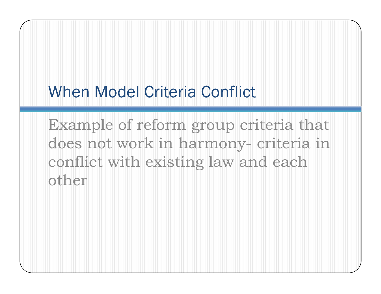Example of reform group criteria that does not work in harmony- criteria in conflict with existing law and each other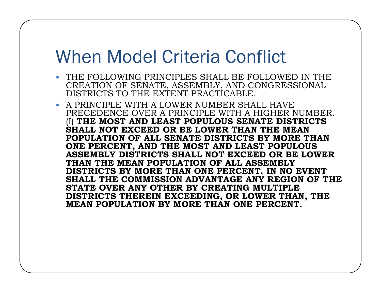- THE FOLLOWING PRINCIPLES SHALL BE FOLLOWED IN THE CREATION OF SENATE, ASSEMBLY, AND CONGRESSIONAL DISTRICTS TO THE EXTENT PRACTICABLE.
- A PRINCIPLE WITH A LOWER NUMBER SHALL HAVE PRECEDENCE OVER A PRINCIPLE WITH A HIGHER NUMBER. (I) **THE MOST AND LEAST POPULOUS SENATE DISTRICTS SHALL NOT EXCEED OR BE LOWER THAN THE MEAN POPULATION OF ALL SENATE DISTRICTS BY MORE THAN ONE PERCENT, AND THE MOST AND LEAST POPULOUS ASSEMBLY DISTRICTS SHALL NOT EXCEED OR BE LOWER THAN THE MEAN POPULATION OF ALL ASSEMBLY DISTRICTS BY MORE THAN ONE PERCENT. IN NO EVENT SHALL THE COMMISSION ADVANTAGE ANY REGION OF THE STATE OVER ANY OTHER BY CREATING MULTIPLE DISTRICTS THEREIN EXCEEDING, OR LOWER THAN, THE MEAN POPULATION BY MORE THAN ONE PERCENT.**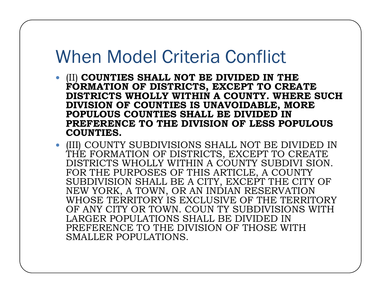- y (II) **COUNTIES SHALL NOT BE DIVIDED IN THE FORMATION OF DISTRICTS, EXCEPT TO CREATE DISTRICTS WHOLLY WITHIN A COUNTY. WHERE SUCH DIVISION OF COUNTIES IS UNAVOIDABLE, MORE POPULOUS COUNTIES SHALL BE DIVIDED IN PREFERENCE TO THE DIVISION OF LESS POPULOUS COUNTIES.**
- (III) COUNTY SUBDIVISIONS SHALL NOT BE DIVIDED IN THE FORMATION OF DISTRICTS, EXCEPT TO CREATE DISTRICTS WHOLLY WITHIN A COUNTY SUBDIVI SION. FOR THE PURPOSES OF THIS ARTICLE, A COUNTY SUBDIVISION SHALL BE A CITY, EXCEPT THE CITY OF NEW YORK, A TOWN, OR AN INDIAN RESERVATION WHOSE TERRITORY IS EXCLUSIVE OF THE TERRITORY OF ANY CITY OR TOWN. COUN TY SUBDIVISIONS WITH LARGER POPULATIONS SHALL BE DIVIDED IN PREFERENCE TO THE DIVISION OF THOSE WITH SMALLER POPULATIONS.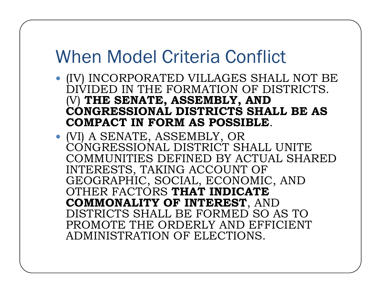- $\bullet$  (IV) INCORPORATED VILLAGES SHALL NOT BE DIVIDED IN THE FORMATION OF DISTRICTS. (V) **THE SENATE, ASSEMBLY, AND CONGRESSIONAL DISTRICTS SHALL BE AS COMPACT IN FORM AS POSSIBLE**.
- (VI) A SENATE, ASSEMBLY, OR CONGRESSIONAL DISTRICT SHALL UNITE COMMUNITIES DEFINED BY ACTUAL SHARED INTERESTS, TAKING ACCOUNT OF GEOGRAPHIC, SOCIAL, ECONOMIC, AND OTHER FACTORS **THAT INDICATE COMMONALITY OF INTEREST**, AND DISTRICTS SHALL BE FORMED SO AS TO PROMOTE THE ORDERLY AND EFFICIENT ADMINISTRATION OF ELECTIONS.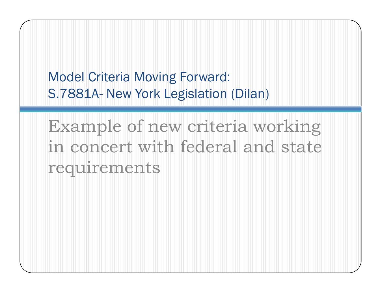Model Criteria Moving Forward: S.7881A-- New York Legislation (Dilan)

Example of new criteria working in concert with federal and state requirements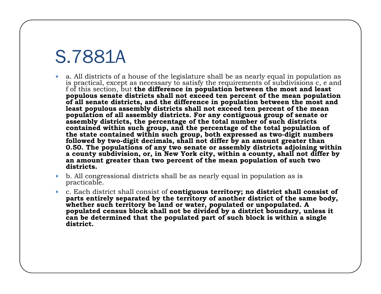## S.7881A

- $\bullet$  a. All districts of a house of the legislature shall be as nearly equal in population as is practical, except as necessary to satisfy the requirements of subdivisions c, e and f of this section, but **the difference in population between the most and least populous senate districts shall not exceed ten percent of the mean population of all senate districts, and the difference in population between the most and least populous assembly districts shall not exceed ten percent of the mean population of all assembly districts. For any contiguous group of senate or assembly districts, the percentage of the total number of such districts contained within such group, and the percentage of the total population of the state contained within such group, both expressed as two-digit numbers followed by two-digit decimals, shall not differ by an amount greater than 0.50. The populations of any two senate or assembly districts adjoining within a county subdivision, or, in New York city, within a county, shall not differ by an amount greater than two percent of the mean population of such two di t i t sricts.**
- $\bullet$  b. All congressional districts shall be as nearly equal in population as is practicable.
- $\bullet$  c. Each district shall consist of **contiguous territory; no district shall consist of parts entirely separated by the territory of another district of the same body,**  whether such territory be land or water, populated or unpopulated. A **populated census block shall not be divided by a district boundary, unless it can be determined that the populated part of such block is within a single district.**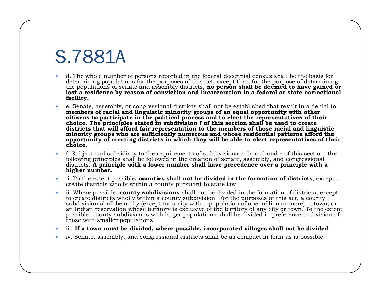## S.7881A

- $\bullet$  d. The whole number of persons reported in the federal decennial census shall be the basis for determining populations for the purposes of this act, except that, for the purpose of determining the populations of senate and assembly districts**, no person shall be deemed to have gained or**  lost a residence by reason of conviction and incarceration in a federal or state correctional **facility.**
- $\bullet$  e. Senate, assembly, or congressional districts shall not be established that result in a denial to **members of racial and linguistic minority groups of an equal opportunity with other citizens to participate in the political process and to elect the representatives of their choice. The principles stated in subdivision f of this section shall be used to create districts that will afford fair representation to the members of those racial and linguistic minority groups who are sufficiently numerous and whose residential patterns afford the opportunity of creating districts in which they will be able to elect representatives of their choice.**
- $\bullet$  f. Subject and subsidiary to the requirements of subdivisions a, b, c, d and e of this section, the following principles shall be followed in the creation of senate, assembly, and congressional districts**. A principle with a lower number shall have precedence over a principle with a higher number.**
- $\bullet$  i. To the extent possible**, counties shall not be divided in the formation of districts**, except to create districts wholly within a county pursuant to state law.
- $\bullet$  ii. Where possible, **county subdivisions** shall not be divided in the formation of districts, except to create districts wholly within a county subdivision. For the purposes of this act, a county subdivision shall be a city (except for a city with a population of one million or more), a town, or an Indian reservation whose territory is exclusive of the territory of any city or town. To the extent possible, county subdivisions with larger populations shall be divided in preference to division of those with smaller populations.
- $\bullet$ iii**. If a town must be divided, where possible, incorporated villages shall not be divided**.
- $\bullet$  $\bullet$  iv. Senate, assembly, and congressional districts shall be as compact in form as is possible.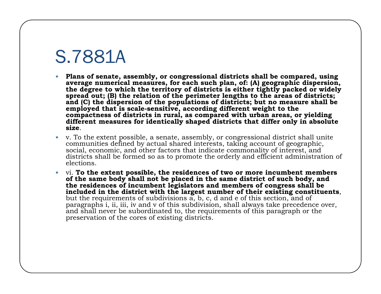#### S.7881A

- $\bullet$  **Plans of senate, assembly, or congressional districts shall be compared, using average numerical measures, for each such plan, of: (A) geographic dispersion, the degree to which the territory of districts is either tightly packed or widely spread out; (B) the relation of the perimeter lengths to the areas of districts; and (C) the dispersion of the populations of districts; but no measure shall be employed that is scale-sensitive, according different weight to the compactness of districts in rural, as compared with urban areas, or yielding different measures for identically shaped districts that differ only in absolute size**.
- $\bullet$  v. To the extent possible, a senate, assembly, or congressional district shall unite communities defined by actual shared interests, taking account of geographic, social, economic, and other factors that indicate commonality of interest, and districts shall be formed so as to promote the orderly and efficient administration of elections.
- $\bullet$  vi. **To the extent possible, the residences of two or more incumbent members of the same body shall not be placed in the same district of such body, and the residences of incumbent legislators and members of congress shall be included in the district with the largest number of their existing constituents**, but the requirements of subdivisions a, b, c, d and e of this section, and of paragraphs i, ii, iii, iv and v of this subdivision, shall always take precedence over, and shall never be subordinated to, the requirements of this paragraph or the preservation of the cores of existing districts.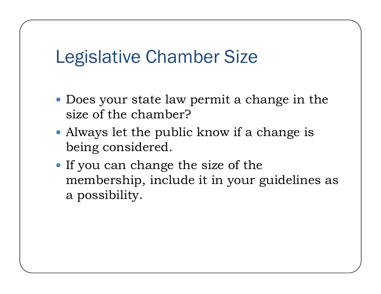#### Legislative Chamber Size

- $\bullet$  Does your state law permit a change in the size of the chamber?
- Always let the public know if a change is being considered.
- $\bullet$  If you can change the size of the membership, include it in your guidelines as a possibility.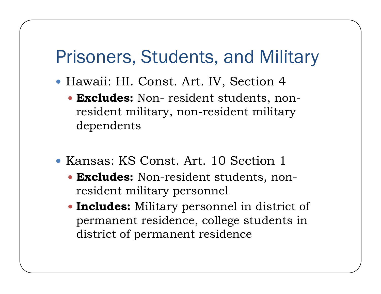#### Prisoners, Students, and Military

- Hawaii: HI. Const. Art. IV, Section 4
	- y **Excludes:** Non- resident students, nonresident military, non-resident military dependents
- Kansas: KS Const. Art. 10 Section 1
	- y **Excludes:** Non-resident students, nonresident military personnel
	- Includes: Military personnel in district of permanent residence, college students in district of permanent residence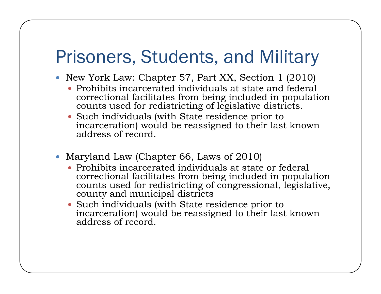## Prisoners, Students, and Military

- New York Law: Chapter 57, Part XX, Section 1 (2010)
	- Prohibits incarcerated individuals at state and federal correctional facilitates from being included in population counts used for redistricting of legislative districts.
	- $\bullet$  Such individuals (with State residence prior to incarceration) would be reassigned to their last known address of record.
- Maryland Law (Chapter 66, Laws of  $2010$ )
	- Prohibits incarcerated individuals at state or federal correctional facilitates from being included in population counts used for redistricting of congressional, legislative, county and municipal districts
	- Such individuals (with State residence prior to incarceration) would be reassigned to their last known address of record.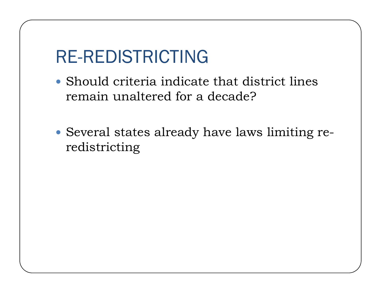## RE-REDISTRICTING

- $\bullet$  Should criteria indicate that district lines remain unaltered for a decade?
- $\bullet$  Several states already have laws limiting reredistricting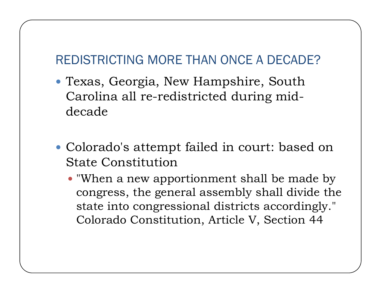#### REDISTRICTING MORE THAN ONCE A DECADE?

- Texas, Georgia, New Hampshire, South Carolina all re-redistricted during middecade
- Colorado's attempt failed in court: based on State Constitution
	- $\bullet$  "When a new apportionment shall be made by congress, the general assembly shall divide the state into congressional districts accordingly." Colorado Constitution, Article V, Section 44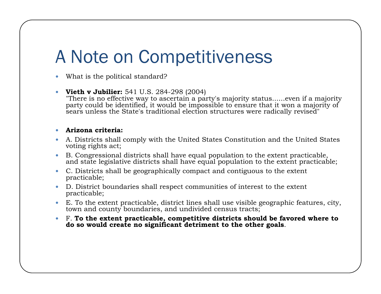## A Note on Competitiveness

- $\bullet$ What is the political standard?
- $\bullet$ **• Vieth v Jubilier:** 541 U.S. 284-298 (2004)
	- "There is no effective way to ascertain a party's majority status......even if a majority party could be identified, it would be impossible to ensure that it won a majority of sears unless the State's traditional election structures were radically revised"

#### $\bullet$ **A i it i rizona criteria:**

- $\bullet$  A. Districts shall comply with the United States Constitution and the United States voting rights act;
- $\bullet$  B. Congressional districts shall have equal population to the extent practicable, and state legislative districts shall have equal population to the extent practicable;
- $\bullet$  C. Districts shall be geographically compact and contiguous to the extent practicable;
- $\bullet$  D. District boundaries shall respect communities of interest to the extent practicable;
- $\bullet$ E. To the extent practicable, district lines shall use visible geographic features, city, town and county boundaries, and undivided census tracts;
- $\bullet$  F. **To the extent practicable, competitive districts should be favored where to do so would create no significant detriment to the other goals**.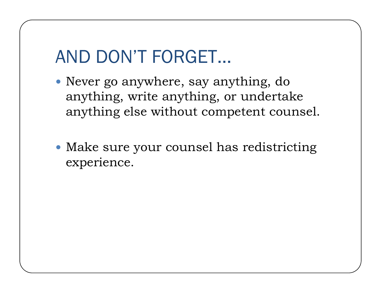## AND DON'T FORGET…

- $\bullet$  Never go anywhere, say anything, do anything, write anything, or undertake anything else without competent counsel.
- Make sure your counsel has redistricting experience.